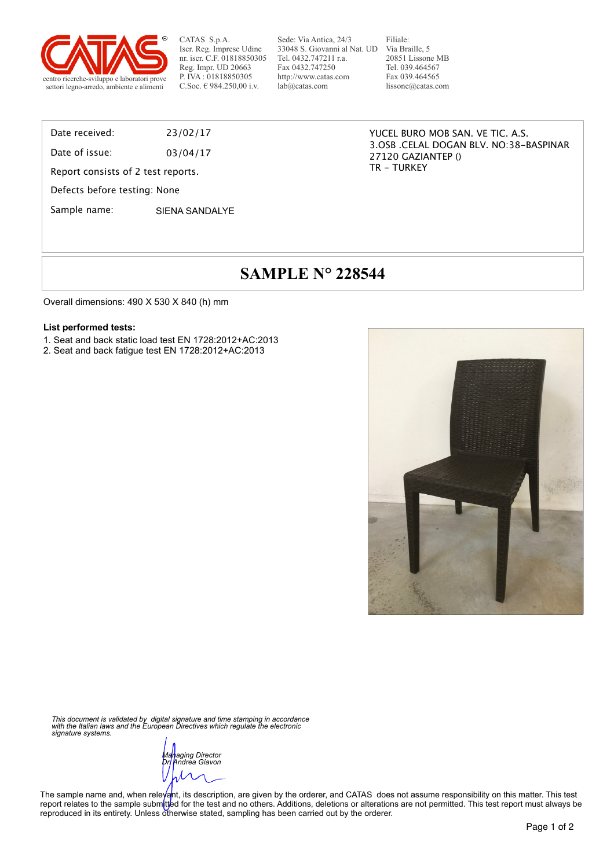

CATAS S.p.A. Iscr. Reg. Imprese Udine nr. iscr. C.F. 01818850305 Reg. Impr. UD 20663 P. IVA : 01818850305

Sede: Via Antica, 24/3 33048 S. Giovanni al Nat. UD Via Braille, 5 Tel. 0432.747211 r.a. Fax 0432.747250 http://www.catas.com lab@catas.com

Filiale: 20851 Lissone MB Tel. 039.464567 Fax 039.464565 lissone@catas.com

#### Date received: 23/02/17

Date of issue: 03/04/17

Report consists of 2 test reports.

Defects before testing: None

Sample name: SIFNA SANDALYF

YUCEL BURO MOB SAN. VE TIC. A.S. 3.OSB .CELAL DOGAN BLV. NO:38-BASPINAR 27120 GAZIANTEP () TR - TURKEY

# **SAMPLE N° 228544**

Overall dimensions: 490 X 530 X 840 (h) mm

#### **List performed tests:**

- 1. Seat and back static load test EN 1728:2012+AC:2013
- 2. Seat and back fatigue test EN 1728:2012+AC:2013



*This document is validated by digital signature and time stamping in accordance with the Italian laws and the European Directives which regulate the electronic signature systems.* 

*Managing Director Dr. Andrea Giavon* 

The sample name and, when releyant, its description, are given by the orderer, and CATAS does not assume responsibility on this matter. This test report relates to the sample submitted for the test and no others. Additions, deletions or alterations are not permitted. This test report must always be reproduced in its entirety. Unless otherwise stated, sampling has been carried out by the orderer.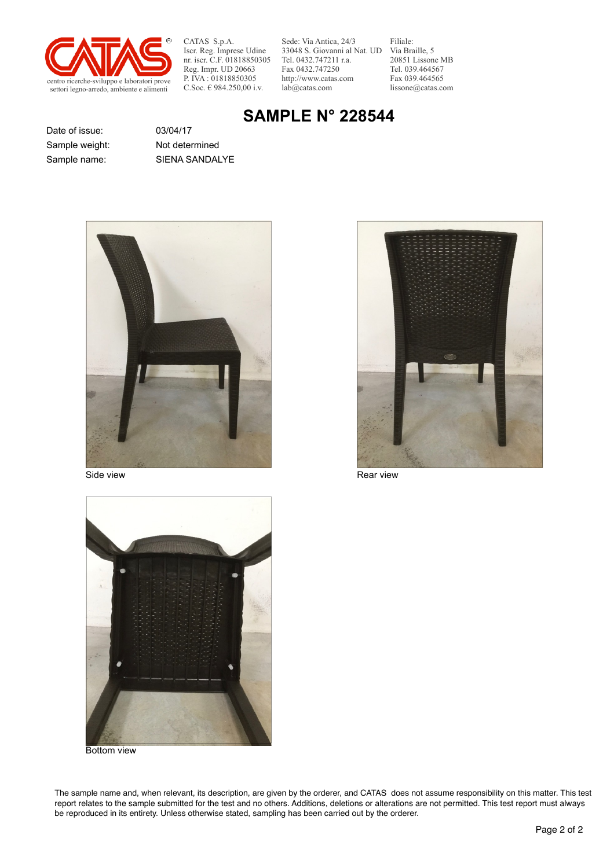

CATAS S.p.A. Iscr. Reg. Imprese Udine nr. iscr. C.F. 01818850305 Reg. Impr. UD 20663 P. IVA : 01818850305<br>C.Soc. € 984.250,00 i.v.

Sede: Via Antica, 24/3 33048 S. Giovanni al Nat. UD Via Braille, 5 Tel. 0432.747211 r.a. Fax 0432.747250 http://www.catas.com lab@catas.com

Filiale: 20851 Lissone MB Tel. 039.464567 Fax 039.464565 lissone@catas.com

## **SAMPLE N° 228544**

Date of issue: 03/04/17 Sample weight: Not determined

Sample name: SIENA SANDALYE





Side view **Rear view** Rear view Rear view Rear view



Bottom view

The sample name and, when relevant, its description, are given by the orderer, and CATAS does not assume responsibility on this matter. This test report relates to the sample submitted for the test and no others. Additions, deletions or alterations are not permitted. This test report must always be reproduced in its entirety. Unless otherwise stated, sampling has been carried out by the orderer.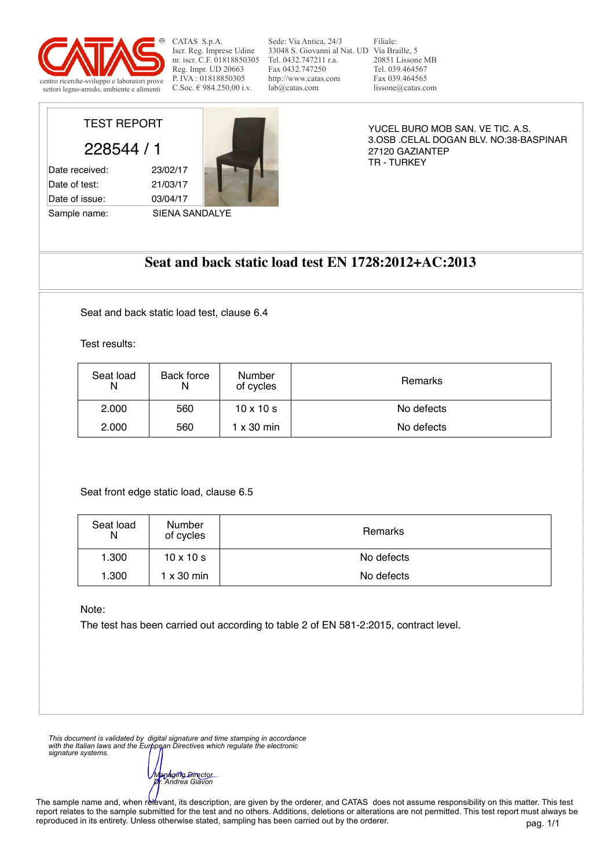

CATAS S.p.A. Iscr. Reg. Imprese Udine nr. iscr. C.F. 01818850305 Reg. Impr. UD 20663 P. IVA : 01818850305<br>C.Soc.  $\in$  984.250.00 i.v.

Sede: Via Antica, 24/3 33048 S. Giovanni al Nat. UD Via Braille, 5 Tel. 0432.747211 r.a. Fax 0432.747250 http://www.catas.com lab@catas.com

Filiale: 20851 Lissone MB Tel. 039.464567 Fax 039.464565 lissone@catas.com

TEST REPORT

228544 / 1

Date received: 23/02/17 Date of test: 21/03/17 Date of issue: 03/04/17

Sample name: SIENA SANDALYE



YUCEL BURO MOB SAN. VE TIC. A.S. 3.OSB .CELAL DOGAN BLV. NO:38-BASPINAR 27120 GAZIANTEP TR - TURKEY

## **Seat and back static load test EN 1728:2012+AC:2013**

Seat and back static load test, clause 6.4

Test results:

Seat front edge static load, clause 6.5

Note:

The test has been carried out according to table 2 of EN 581-2:2015, contract level.

*This document is validated by digital signature and time stamping in accordance with the Italian laws and the European Directives which regulate the electronic signature systems.* 

*Managing Director Dr. Andrea Giavon* 

The sample name and, when relevant, its description, are given by the orderer, and CATAS does not assume responsibility on this matter. This test report relates to the sample submitted for the test and no others. Additions, deletions or alterations are not permitted. This test report must always be reproduced in its entirety. Unless otherwise stated, sampling has been carried out by the orderer.